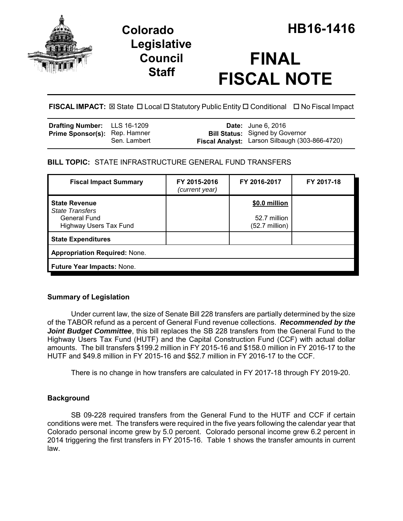

## **Legislative Council Staff**

# **FINAL FISCAL NOTE**

**FISCAL IMPACT:** ⊠ State **D** Local **D** Statutory Public Entity **D** Conditional **D** No Fiscal Impact

| <b>Drafting Number:</b> LLS 16-1209  |              | <b>Date:</b> June 6, 2016                                                                |
|--------------------------------------|--------------|------------------------------------------------------------------------------------------|
| <b>Prime Sponsor(s): Rep. Hamner</b> | Sen. Lambert | <b>Bill Status:</b> Signed by Governor<br>Fiscal Analyst: Larson Silbaugh (303-866-4720) |

## **BILL TOPIC:** STATE INFRASTRUCTURE GENERAL FUND TRANSFERS

| <b>Fiscal Impact Summary</b>                                                                           | FY 2015-2016<br>(current year) | FY 2016-2017                                              | FY 2017-18 |  |  |  |
|--------------------------------------------------------------------------------------------------------|--------------------------------|-----------------------------------------------------------|------------|--|--|--|
| <b>State Revenue</b><br><b>State Transfers</b><br><b>General Fund</b><br><b>Highway Users Tax Fund</b> |                                | \$0.0 million<br>52.7 million<br>$(52.7 \text{ million})$ |            |  |  |  |
| <b>State Expenditures</b>                                                                              |                                |                                                           |            |  |  |  |
| <b>Appropriation Required: None.</b>                                                                   |                                |                                                           |            |  |  |  |
| <b>Future Year Impacts: None.</b>                                                                      |                                |                                                           |            |  |  |  |

## **Summary of Legislation**

Under current law, the size of Senate Bill 228 transfers are partially determined by the size of the TABOR refund as a percent of General Fund revenue collections. *Recommended by the* **Joint Budget Committee**, this bill replaces the SB 228 transfers from the General Fund to the Highway Users Tax Fund (HUTF) and the Capital Construction Fund (CCF) with actual dollar amounts. The bill transfers \$199.2 million in FY 2015-16 and \$158.0 million in FY 2016-17 to the HUTF and \$49.8 million in FY 2015-16 and \$52.7 million in FY 2016-17 to the CCF.

There is no change in how transfers are calculated in FY 2017-18 through FY 2019-20.

## **Background**

SB 09-228 required transfers from the General Fund to the HUTF and CCF if certain conditions were met. The transfers were required in the five years following the calendar year that Colorado personal income grew by 5.0 percent. Colorado personal income grew 6.2 percent in 2014 triggering the first transfers in FY 2015-16. Table 1 shows the transfer amounts in current law.